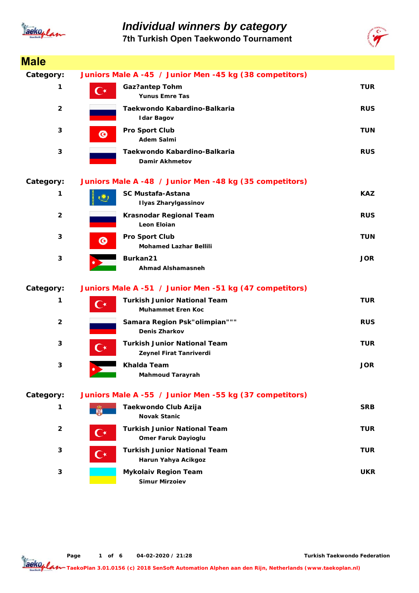

### *Individual winners by category* **7th Turkish Open Taekwondo Tournament**



| <b>Male</b>             |                      |                                                                   |            |
|-------------------------|----------------------|-------------------------------------------------------------------|------------|
| Category:               |                      | Juniors Male A -45 / Junior Men -45 kg (38 competitors)           |            |
| 1                       | $\mathsf{C}^\star$   | <b>Gaz?antep Tohm</b><br><b>Yunus Emre Tas</b>                    | <b>TUR</b> |
| $\overline{2}$          |                      | Taekwondo Kabardino-Balkaria<br><b>Idar Bagov</b>                 | <b>RUS</b> |
| 3                       | $\bf G$              | Pro Sport Club<br><b>Adem Salmi</b>                               | <b>TUN</b> |
| 3                       |                      | Taekwondo Kabardino-Balkaria<br><b>Damir Akhmetov</b>             | <b>RUS</b> |
| Category:               |                      | Juniors Male A -48 / Junior Men -48 kg (35 competitors)           |            |
| 1                       |                      | <b>SC Mustafa-Astana</b><br><b>Ilyas Zharylgassinov</b>           | <b>KAZ</b> |
| $\overline{2}$          |                      | Krasnodar Regional Team<br>Leon Eloian                            | <b>RUS</b> |
| 3                       | ◎                    | <b>Pro Sport Club</b><br><b>Mohamed Lazhar Bellili</b>            | TUN        |
| 3                       |                      | Burkan21<br><b>Ahmad Alshamasneh</b>                              | <b>JOR</b> |
| Category:               |                      | Juniors Male A -51 / Junior Men -51 kg (47 competitors)           |            |
| 1                       | $\mathbf{C}^{\star}$ | <b>Turkish Junior National Team</b><br><b>Muhammet Eren Koc</b>   | <b>TUR</b> |
| $\overline{2}$          |                      | Samara Region Psk"olimpian"""<br><b>Denis Zharkov</b>             | <b>RUS</b> |
| 3                       | $\mathsf{C}^\star$   | <b>Turkish Junior National Team</b><br>Zeynel Firat Tanriverdi    | <b>TUR</b> |
| 3                       |                      | Khalda Team<br><b>Mahmoud Tarayrah</b>                            | <b>JOR</b> |
| Category:               |                      | Juniors Male A -55 / Junior Men -55 kg (37 competitors)           |            |
| 1                       |                      | Taekwondo Club Azija<br><b>Novak Stanic</b>                       | <b>SRB</b> |
| $\overline{\mathbf{2}}$ | ( *                  | <b>Turkish Junior National Team</b><br><b>Omer Faruk Dayioglu</b> | TUR        |
| 3                       | (  ∗                 | <b>Turkish Junior National Team</b><br>Harun Yahya Acikgoz        | <b>TUR</b> |
| 3                       |                      | <b>Mykolaiv Region Team</b><br><b>Simur Mirzoiev</b>              | <b>UKR</b> |

**Page o 1 f 6 04-02-2020 / 21:28**

**Turkish Taekwondo Federation**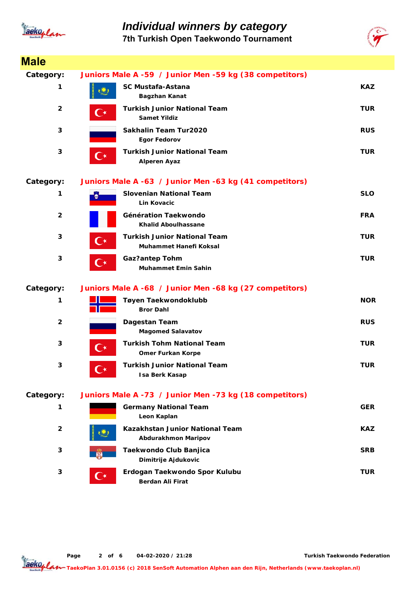

### *Individual winners by category* **7th Turkish Open Taekwondo Tournament**



| <b>Male</b>    |                      |                                                               |            |
|----------------|----------------------|---------------------------------------------------------------|------------|
| Category:      |                      | Juniors Male A -59 / Junior Men -59 kg (38 competitors)       |            |
| 1              |                      | <b>SC Mustafa-Astana</b><br>Bagzhan Kanat                     | <b>KAZ</b> |
| $\overline{2}$ | С∗                   | <b>Turkish Junior National Team</b><br><b>Samet Yildiz</b>    | <b>TUR</b> |
| 3              |                      | Sakhalin Team Tur2020<br><b>Egor Fedorov</b>                  | <b>RUS</b> |
| 3              | $\mathbf{C}^{\star}$ | <b>Turkish Junior National Team</b><br><b>Alperen Ayaz</b>    | TUR        |
| Category:      |                      | Juniors Male A -63 / Junior Men -63 kg (41 competitors)       |            |
| 1              |                      | <b>Slovenian National Team</b><br><b>Lin Kovacic</b>          | <b>SLO</b> |
| $\overline{2}$ |                      | Génération Taekwondo<br><b>Khalid Aboulhassane</b>            | <b>FRA</b> |
| 3              | $\mathbf{C}^\star$   | Turkish Junior National Team<br>Muhammet Hanefi Koksal        | <b>TUR</b> |
| 3              | Œ                    | <b>Gaz?antep Tohm</b><br><b>Muhammet Emin Sahin</b>           | <b>TUR</b> |
| Category:      |                      | Juniors Male A -68 / Junior Men -68 kg (27 competitors)       |            |
| 1              |                      | Tøyen Taekwondoklubb<br><b>Bror Dahl</b>                      | <b>NOR</b> |
| $\overline{2}$ |                      | Dagestan Team<br><b>Magomed Salavatov</b>                     | <b>RUS</b> |
| 3              | ( ∗                  | <b>Turkish Tohm National Team</b><br><b>Omer Furkan Korpe</b> | <b>TUR</b> |
| 3              | $\curvearrowright$   | <b>Turkish Junior National Team</b><br><b>Isa Berk Kasap</b>  | <b>TUR</b> |
| Category:      |                      | Juniors Male A -73 / Junior Men -73 kg (18 competitors)       |            |
| 1              |                      | <b>Germany National Team</b><br>Leon Kaplan                   | <b>GER</b> |
| $\overline{2}$ |                      | Kazakhstan Junior National Team<br>Abdurakhmon Maripov        | <b>KAZ</b> |
| 3              |                      | Taekwondo Club Banjica<br>Dimitrije Ajdukovic                 | <b>SRB</b> |
| 3              | $\mathbf{C}^{\star}$ | Erdogan Taekwondo Spor Kulubu<br><b>Berdan Ali Firat</b>      | TUR        |

**Page o 2 f 6 04-02-2020 / 21:28**

**Turkish Taekwondo Federation**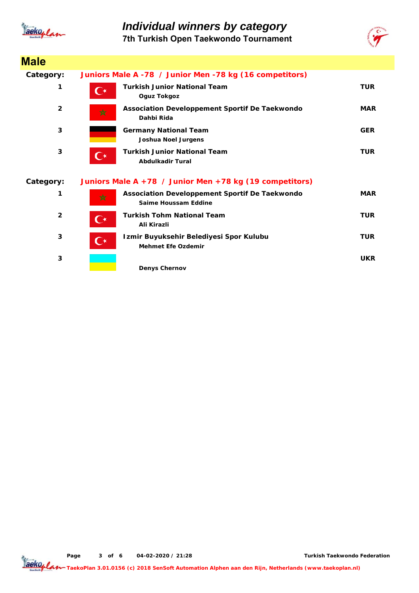

**Male**

# *Individual winners by category*

**7th Turkish Open Taekwondo Tournament**



| סוטוס                   |                                                                                            |            |
|-------------------------|--------------------------------------------------------------------------------------------|------------|
| Category:               | Juniors Male A -78 / Junior Men -78 kg (16 competitors)                                    |            |
|                         | <b>Turkish Junior National Team</b><br>C∗<br>Oguz Tokgoz                                   | <b>TUR</b> |
| $\overline{2}$          | Association Developpement Sportif De Taekwondo<br>☆<br>Dahbi Rida                          | <b>MAR</b> |
| 3                       | <b>Germany National Team</b><br><b>Joshua Noel Jurgens</b>                                 | <b>GER</b> |
| 3                       | <b>Turkish Junior National Team</b><br>$\mathbf{C}^{\star}$<br><b>Abdulkadir Tural</b>     | <b>TUR</b> |
| Category:               | Juniors Male A +78 / Junior Men +78 kg (19 competitors)                                    |            |
|                         | Association Developpement Sportif De Taekwondo<br>☆<br>Saime Houssam Eddine                | <b>MAR</b> |
| $\overline{\mathbf{2}}$ | <b>Turkish Tohm National Team</b><br>$\mathsf{C}^\star$<br>Ali Kirazli                     | <b>TUR</b> |
| 3                       | Izmir Buyuksehir Belediyesi Spor Kulubu<br>$\mathbf{C}^\star$<br><b>Mehmet Efe Ozdemir</b> | <b>TUR</b> |
| 3                       | <b>Denys Chernov</b>                                                                       | <b>UKR</b> |

**Page o 3 f 6 04-02-2020 / 21:28**

**Turkish Taekwondo Federation**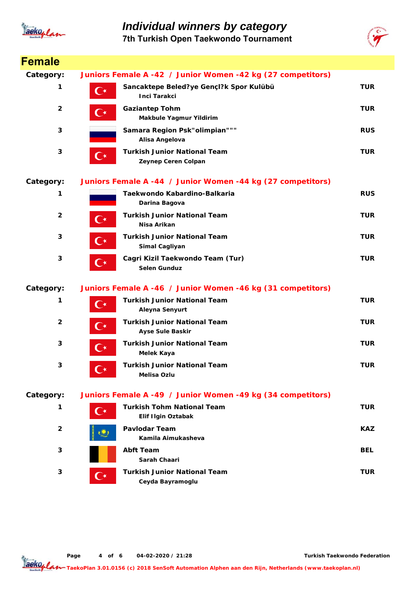

### *Individual winners by category*

**7th Turkish Open Taekwondo Tournament**



| <b>Female</b>           |                      |                                                                |            |
|-------------------------|----------------------|----------------------------------------------------------------|------------|
| Category:               |                      | Juniors Female A -42 / Junior Women -42 kg (27 competitors)    |            |
| 1                       | $\mathbf{C}^{\star}$ | Sancaktepe Beled?ye Gençl?k Spor Kulübü<br>Inci Tarakci        | <b>TUR</b> |
| $\overline{\mathbf{2}}$ | $\mathbf{C}$         | <b>Gaziantep Tohm</b><br>Makbule Yagmur Yildirim               | <b>TUR</b> |
| 3                       |                      | Samara Region Psk"olimpian"""<br>Alisa Angelova                | <b>RUS</b> |
| 3                       | $\mathbf{C}^{\star}$ | <b>Turkish Junior National Team</b><br>Zeynep Ceren Colpan     | <b>TUR</b> |
| Category:               |                      | Juniors Female A -44 / Junior Women -44 kg (27 competitors)    |            |
| 1                       |                      | Taekwondo Kabardino-Balkaria<br>Darina Bagova                  | <b>RUS</b> |
| $\overline{2}$          | $\mathbf{C}^{\star}$ | <b>Turkish Junior National Team</b><br>Nisa Arikan             | TUR        |
| 3                       | С∗                   | <b>Turkish Junior National Team</b><br>Simal Cagliyan          | <b>TUR</b> |
| 3                       | $\mathbf{C}^{\star}$ | Cagri Kizil Taekwondo Team (Tur)<br><b>Selen Gunduz</b>        | <b>TUR</b> |
| Category:               |                      | Juniors Female A -46 / Junior Women -46 kg (31 competitors)    |            |
| 1                       | $\mathbf{C}^{\star}$ | <b>Turkish Junior National Team</b><br>Aleyna Senyurt          | <b>TUR</b> |
| $\mathbf{2}$            | $\mathbf{C}^{\star}$ | <b>Turkish Junior National Team</b><br><b>Ayse Sule Baskir</b> | <b>TUR</b> |
| 3                       | $\mathbf{C}^{\star}$ | <b>Turkish Junior National Team</b><br>Melek Kaya              | <b>TUR</b> |
| 3                       | ( ∗                  | <b>Turkish Junior National Team</b><br>Melisa Ozlu             | TUR        |
| Category:               |                      | Juniors Female A -49 / Junior Women -49 kg (34 competitors)    |            |
| 1                       | $\mathsf{C}^\star$   | <b>Turkish Tohm National Team</b><br>Elif Ilgin Oztabak        | <b>TUR</b> |
| 2                       |                      | <b>Pavlodar Team</b><br>Kamila Aimukasheva                     | <b>KAZ</b> |
| 3                       |                      | <b>Abft Team</b><br>Sarah Chaari                               | <b>BEL</b> |
| 3                       | $\mathsf{C}^\star$   | <b>Turkish Junior National Team</b><br>Ceyda Bayramoglu        | TUR        |

**Page o 4 f 6 04-02-2020 / 21:28**

**Turkish Taekwondo Federation**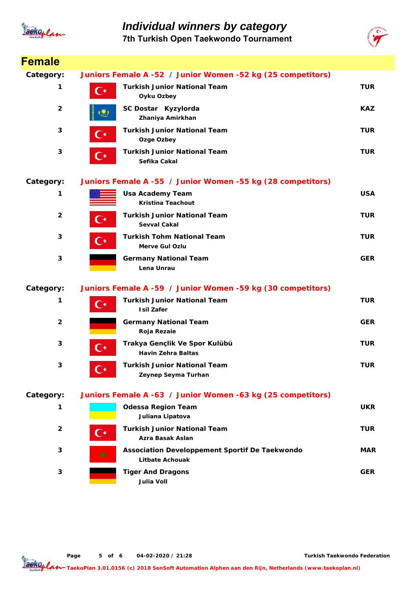

# *Individual winners by category*

**7th Turkish Open Taekwondo Tournament**



| <b>Female</b>           |                      |                                                                          |            |
|-------------------------|----------------------|--------------------------------------------------------------------------|------------|
| Category:               |                      | Juniors Female A -52 / Junior Women -52 kg (25 competitors)              |            |
| 1                       | $\mathbf{C}^{\star}$ | <b>Turkish Junior National Team</b><br>Oyku Ozbey                        | <b>TUR</b> |
| $\overline{\mathbf{2}}$ |                      | SC Dostar Kyzylorda<br>Zhaniya Amirkhan                                  | <b>KAZ</b> |
| 3                       | $\mathbf{C}^{\star}$ | <b>Turkish Junior National Team</b><br>Ozge Ozbey                        | <b>TUR</b> |
| 3                       | $\mathbf{C}^{\star}$ | <b>Turkish Junior National Team</b><br>Sefika Cakal                      | <b>TUR</b> |
| Category:               |                      | Juniors Female A -55 / Junior Women -55 kg (28 competitors)              |            |
| 1                       |                      | <b>Usa Academy Team</b><br><b>Kristina Teachout</b>                      | <b>USA</b> |
| $\overline{2}$          | $\mathbf{C}^\star$   | <b>Turkish Junior National Team</b><br>Sevval Cakal                      | <b>TUR</b> |
| 3                       | $\mathbf{C}^{\star}$ | <b>Turkish Tohm National Team</b><br><b>Merve Gul Ozlu</b>               | <b>TUR</b> |
| 3                       |                      | <b>Germany National Team</b><br>Lena Unrau                               | <b>GER</b> |
| Category:               |                      | Juniors Female A -59 / Junior Women -59 kg (30 competitors)              |            |
| 1                       | $\mathbf{C}^{\star}$ | <b>Turkish Junior National Team</b><br><b>Isil Zafer</b>                 | <b>TUR</b> |
| $\overline{2}$          |                      | <b>Germany National Team</b><br>Roja Rezaie                              | <b>GER</b> |
| 3                       | $\mathbf{C}^{\star}$ | Trakya Gençlik Ve Spor Kulübü<br><b>Havin Zehra Baltas</b>               | <b>TUR</b> |
| 3                       | ( ∗                  | <b>Turkish Junior National Team</b><br>Zeynep Seyma Turhan               | <b>TUR</b> |
| Category:               |                      | Juniors Female A -63 / Junior Women -63 kg (25 competitors)              |            |
| 1                       |                      | <b>Odessa Region Team</b><br>Juliana Lipatova                            | <b>UKR</b> |
| $\overline{2}$          | C∗                   | <b>Turkish Junior National Team</b><br>Azra Basak Aslan                  | <b>TUR</b> |
| 3                       | ☆                    | Association Developpement Sportif De Taekwondo<br><b>Litbate Achouak</b> | <b>MAR</b> |
| 3                       |                      | <b>Tiger And Dragons</b><br><b>Julia Voll</b>                            | <b>GER</b> |

**Page o 5 f 6 04-02-2020 / 21:28**

**Turkish Taekwondo Federation**